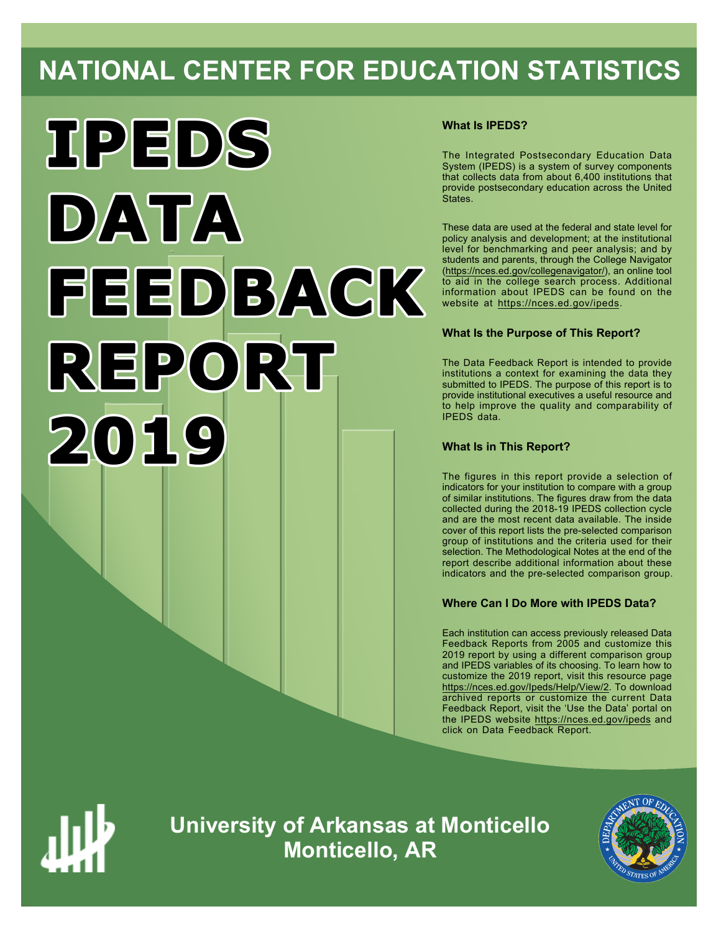# **NATIONAL CENTER FOR EDUCATION STATISTICS**



# **What Is IPEDS?**

The Integrated Postsecondary Education Data System (IPEDS) is a system of survey components that collects data from about 6,400 institutions that provide postsecondary education across the United States.

These data are used at the federal and state level for policy analysis and development; at the institutional level for benchmarking and peer analysis; and by students and parents, through the College Navigator ([https://nces.ed.gov/collegenavigator/\)](https://nces.ed.gov/collegenavigator/), an online tool to aid in the college search process. Additional information about IPEDS can be found on the website at <https://nces.ed.gov/ipeds>.

# **What Is the Purpose of This Report?**

The Data Feedback Report is intended to provide institutions a context for examining the data they submitted to IPEDS. The purpose of this report is to provide institutional executives a useful resource and to help improve the quality and comparability of IPEDS data.

# **What Is in This Report?**

The figures in this report provide a selection of indicators for your institution to compare with a group of similar institutions. The figures draw from the data collected during the 2018-19 IPEDS collection cycle and are the most recent data available. The inside cover of this report lists the pre-selected comparison group of institutions and the criteria used for their selection. The Methodological Notes at the end of the report describe additional information about these indicators and the pre-selected comparison group.

### **Where Can I Do More with IPEDS Data?**

Each institution can access previously released Data Feedback Reports from 2005 and customize this 2019 report by using a different comparison group and IPEDS variables of its choosing. To learn how to customize the 2019 report, visit this resource page <https://nces.ed.gov/Ipeds/Help/View/2>. To download archived reports or customize the current Data Feedback Report, visit the 'Use the Data' portal on the IPEDS website <https://nces.ed.gov/ipeds> and click on Data Feedback Report.



**University of Arkansas at Monticello Monticello, AR**

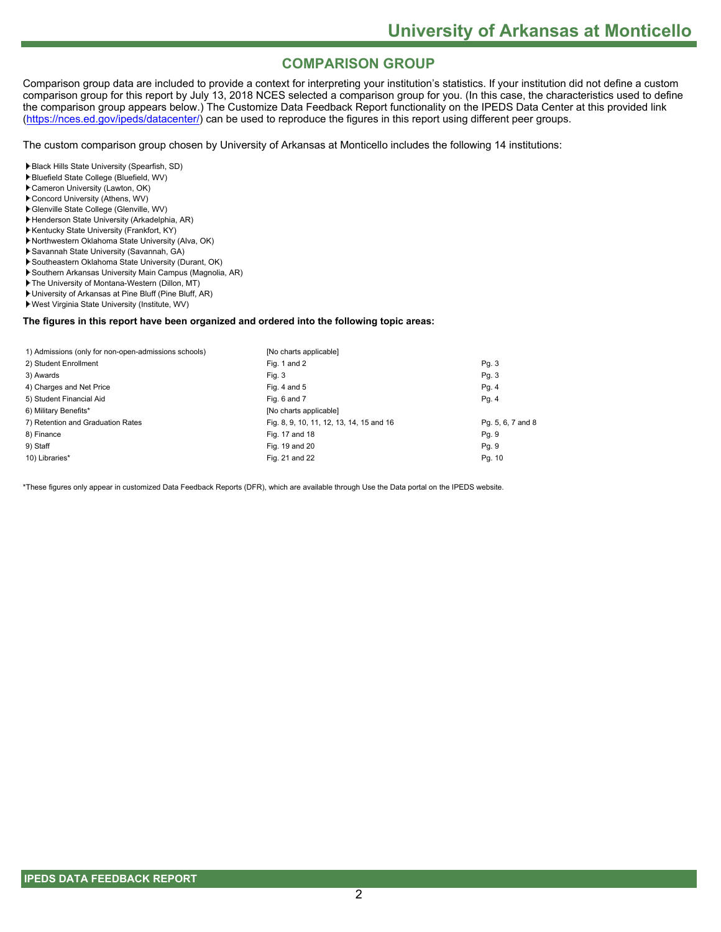# **COMPARISON GROUP**

Comparison group data are included to provide a context for interpreting your institution's statistics. If your institution did not define a custom comparison group for this report by July 13, 2018 NCES selected a comparison group for you. (In this case, the characteristics used to define the comparison group appears below.) The Customize Data Feedback Report functionality on the IPEDS Data Center at this provided link [\(https://nces.ed.gov/ipeds/datacenter/](https://nces.ed.gov/ipeds/datacenter/)) can be used to reproduce the figures in this report using different peer groups.

The custom comparison group chosen by University of Arkansas at Monticello includes the following 14 institutions:

Black Hills State University (Spearfish, SD)

- Bluefield State College (Bluefield, WV)
- Cameron University (Lawton, OK)
- Concord University (Athens, WV)
- Glenville State College (Glenville, WV)
- Henderson State University (Arkadelphia, AR) Kentucky State University (Frankfort, KY)
- Northwestern Oklahoma State University (Alva, OK)
- Savannah State University (Savannah, GA)
- Southeastern Oklahoma State University (Durant, OK)
- Southern Arkansas University Main Campus (Magnolia, AR)
- The University of Montana-Western (Dillon, MT)
- University of Arkansas at Pine Bluff (Pine Bluff, AR)
- West Virginia State University (Institute, WV)

#### **The figures in this report have been organized and ordered into the following topic areas:**

| 1) Admissions (only for non-open-admissions schools) | [No charts applicable]                   |                   |
|------------------------------------------------------|------------------------------------------|-------------------|
| 2) Student Enrollment                                | Fig. 1 and 2                             | Pg. 3             |
| 3) Awards                                            | Fig. 3                                   | Pg. 3             |
| 4) Charges and Net Price                             | Fig. 4 and $5$                           | Pg. 4             |
| 5) Student Financial Aid                             | Fig. 6 and 7                             | Pg.4              |
| 6) Military Benefits*                                | [No charts applicable]                   |                   |
| 7) Retention and Graduation Rates                    | Fig. 8, 9, 10, 11, 12, 13, 14, 15 and 16 | Pg. 5, 6, 7 and 8 |
| 8) Finance                                           | Fig. 17 and 18                           | Pg. 9             |
| 9) Staff                                             | Fig. 19 and 20                           | Pg. 9             |
| 10) Libraries*                                       | Fig. 21 and 22                           | Pg. 10            |

\*These figures only appear in customized Data Feedback Reports (DFR), which are available through Use the Data portal on the IPEDS website.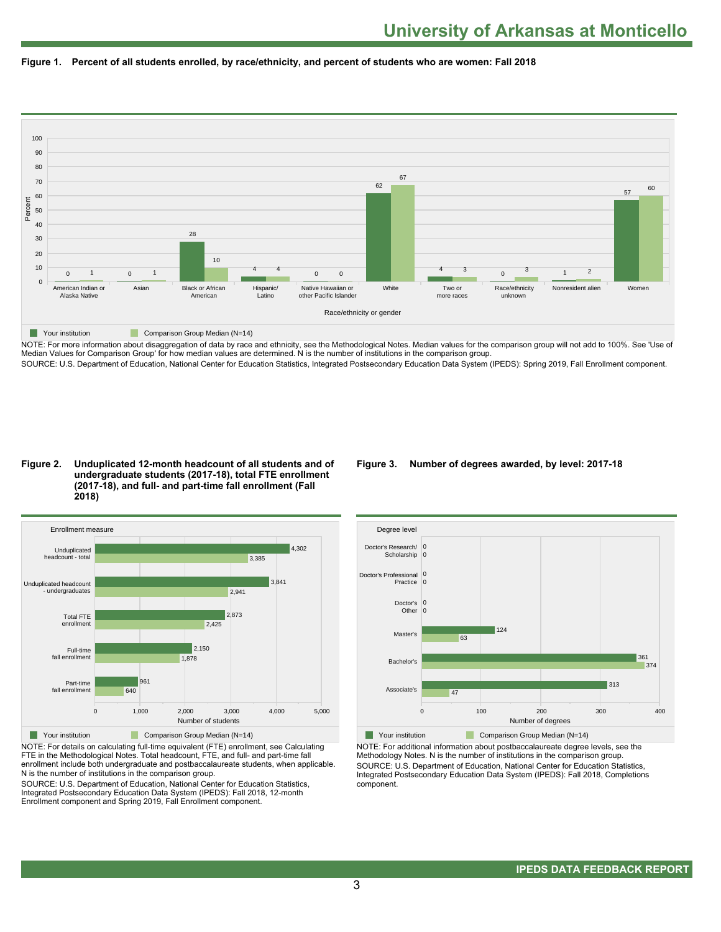



NOTE: For more information about disaggregation of data by race and ethnicity, see the Methodological Notes. Median values for the comparison group will not add to 100%. See 'Use of Median Values for Comparison Group' for how median values are determined. N is the number of institutions in the comparison group. SOURCE: U.S. Department of Education, National Center for Education Statistics, Integrated Postsecondary Education Data System (IPEDS): Spring 2019, Fall Enrollment component.

#### **Figure 2. Unduplicated 12-month headcount of all students and of undergraduate students (2017-18), total FTE enrollment (2017-18), and full- and part-time fall enrollment (Fall 2018)**



NOTE: For details on calculating full-time equivalent (FTE) enrollment, see Calculating FTE in the Methodological Notes. Total headcount, FTE, and full- and part-time fall enrollment include both undergraduate and postbaccalaureate students, when applicable. N is the number of institutions in the comparison group.

SOURCE: U.S. Department of Education, National Center for Education Statistics, Integrated Postsecondary Education Data System (IPEDS): Fall 2018, 12-month Enrollment component and Spring 2019, Fall Enrollment component.

### **Figure 3. Number of degrees awarded, by level: 2017-18**



NOTE: For additional information about postbaccalaureate degree levels, see the Methodology Notes. N is the number of institutions in the comparison group. SOURCE: U.S. Department of Education, National Center for Education Statistics, Integrated Postsecondary Education Data System (IPEDS): Fall 2018, Completions component.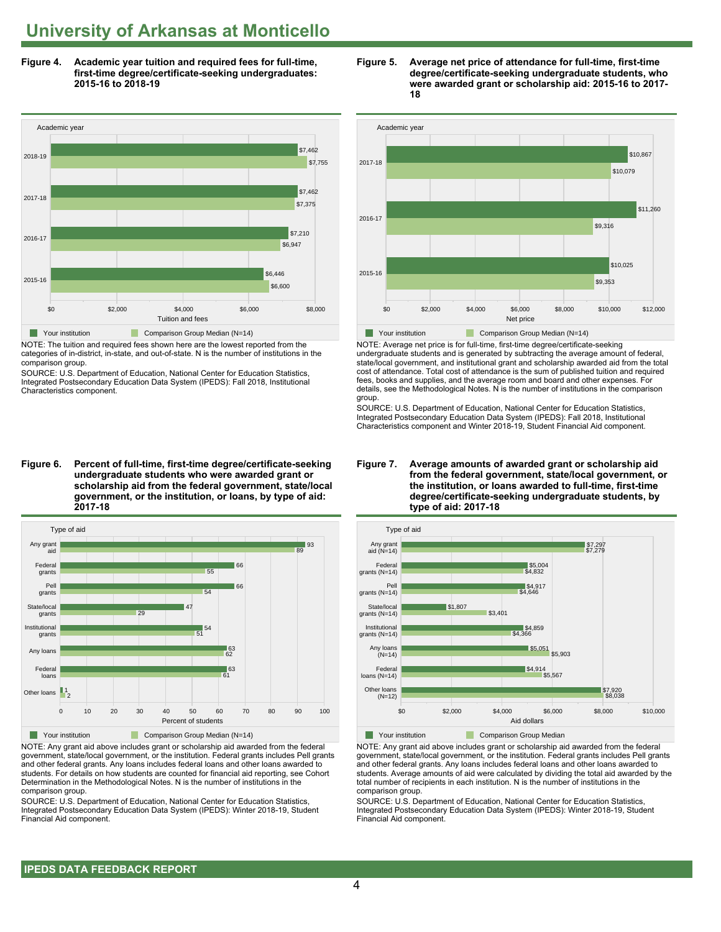**Figure 4. Academic year tuition and required fees for full-time, first-time degree/certificate-seeking undergraduates: 2015-16 to 2018-19**



NOTE: The tuition and required fees shown here are the lowest reported from the categories of in-district, in-state, and out-of-state. N is the number of institutions in the comparison group.

SOURCE: U.S. Department of Education, National Center for Education Statistics, Integrated Postsecondary Education Data System (IPEDS): Fall 2018, Institutional Characteristics component.

**Figure 6. Percent of full-time, first-time degree/certificate-seeking undergraduate students who were awarded grant or scholarship aid from the federal government, state/local government, or the institution, or loans, by type of aid: 2017-18**



NOTE: Any grant aid above includes grant or scholarship aid awarded from the federal government, state/local government, or the institution. Federal grants includes Pell grants and other federal grants. Any loans includes federal loans and other loans awarded to students. For details on how students are counted for financial aid reporting, see Cohort Determination in the Methodological Notes. N is the number of institutions in the comparison group.

SOURCE: U.S. Department of Education, National Center for Education Statistics, Integrated Postsecondary Education Data System (IPEDS): Winter 2018-19, Student Financial Aid component.





NOTE: Average net price is for full-time, first-time degree/certificate-seeking undergraduate students and is generated by subtracting the average amount of federal, state/local government, and institutional grant and scholarship awarded aid from the total cost of attendance. Total cost of attendance is the sum of published tuition and required fees, books and supplies, and the average room and board and other expenses. For details, see the Methodological Notes. N is the number of institutions in the comparison group.

SOURCE: U.S. Department of Education, National Center for Education Statistics, Integrated Postsecondary Education Data System (IPEDS): Fall 2018, Institutional Characteristics component and Winter 2018-19, Student Financial Aid component.





NOTE: Any grant aid above includes grant or scholarship aid awarded from the federal government, state/local government, or the institution. Federal grants includes Pell grants and other federal grants. Any loans includes federal loans and other loans awarded to students. Average amounts of aid were calculated by dividing the total aid awarded by the total number of recipients in each institution. N is the number of institutions in the comparison group.

SOURCE: U.S. Department of Education, National Center for Education Statistics, Integrated Postsecondary Education Data System (IPEDS): Winter 2018-19, Student Financial Aid component.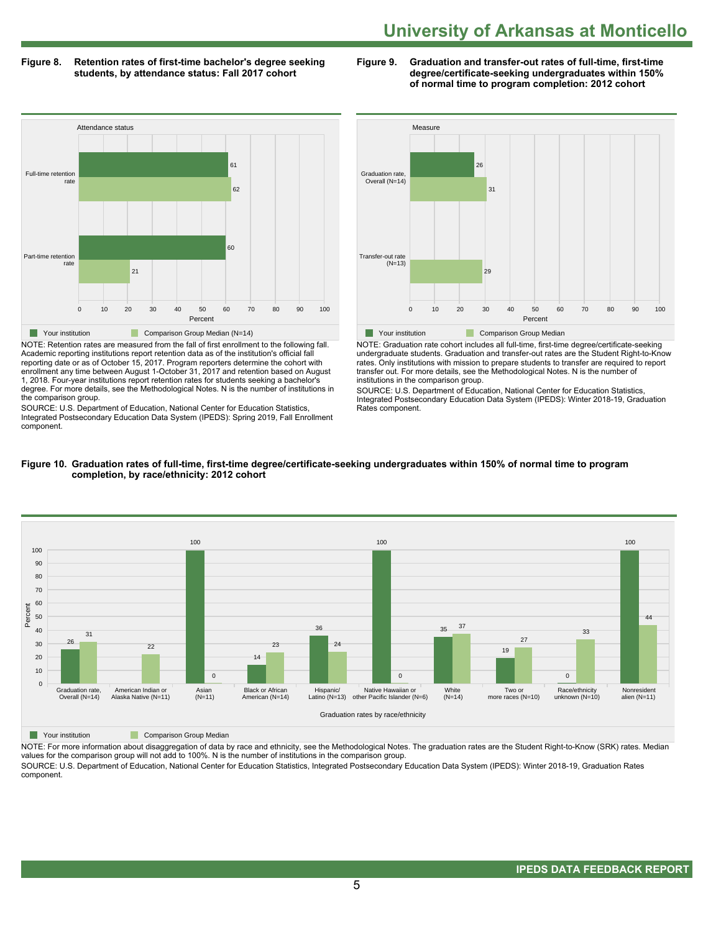# **Figure 8. Retention rates of first-time bachelor's degree seeking Figure 9. Graduation and transfer-out rates of full-time, first-time**

**students, by attendance status: Fall 2017 cohort degree/certificate-seeking undergraduates within 150% of normal time to program completion: 2012 cohort**



NOTE: Retention rates are measured from the fall of first enrollment to the following fall. Academic reporting institutions report retention data as of the institution's official fall reporting date or as of October 15, 2017. Program reporters determine the cohort with enrollment any time between August 1-October 31, 2017 and retention based on August 1, 2018. Four-year institutions report retention rates for students seeking a bachelor's degree. For more details, see the Methodological Notes. N is the number of institutions in the comparison group.

SOURCE: U.S. Department of Education, National Center for Education Statistics, Integrated Postsecondary Education Data System (IPEDS): Spring 2019, Fall Enrollment component.



NOTE: Graduation rate cohort includes all full-time, first-time degree/certificate-seeking undergraduate students. Graduation and transfer-out rates are the Student Right-to-Know rates. Only institutions with mission to prepare students to transfer are required to report transfer out. For more details, see the Methodological Notes. N is the number of institutions in the comparison group.

SOURCE: U.S. Department of Education, National Center for Education Statistics, Integrated Postsecondary Education Data System (IPEDS): Winter 2018-19, Graduation Rates component.



#### **Figure 10. Graduation rates of full-time, first-time degree/certificate-seeking undergraduates within 150% of normal time to program completion, by race/ethnicity: 2012 cohort**

**The Comparison Group Median** 

NOTE: For more information about disaggregation of data by race and ethnicity, see the Methodological Notes. The graduation rates are the Student Right-to-Know (SRK) rates. Median values for the comparison group will not add to 100%. N is the number of institutions in the comparison group.

SOURCE: U.S. Department of Education, National Center for Education Statistics, Integrated Postsecondary Education Data System (IPEDS): Winter 2018-19, Graduation Rates component.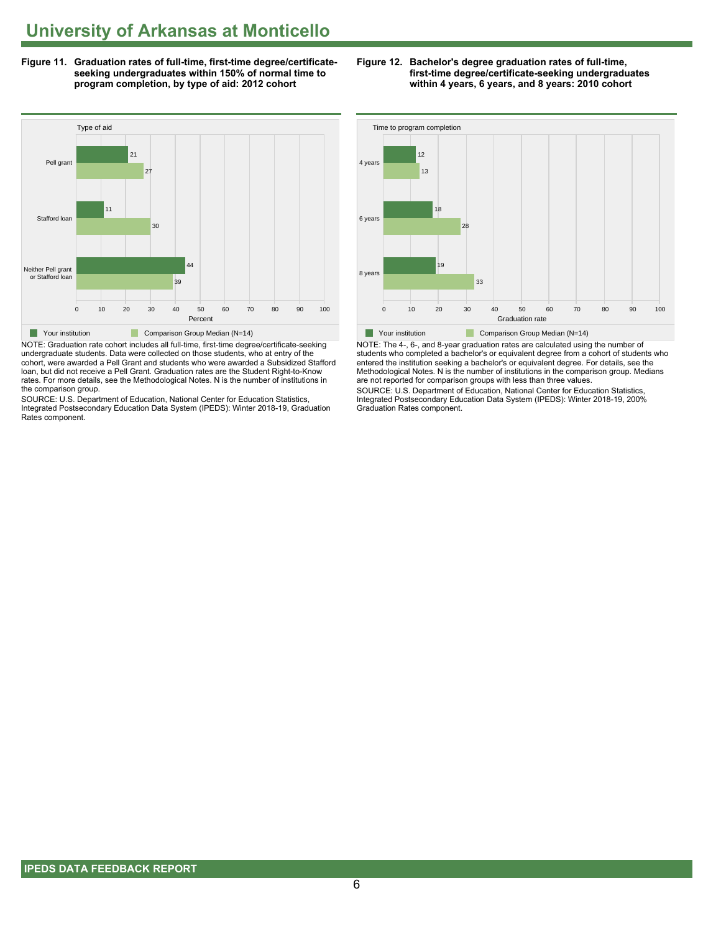**Figure 11. Graduation rates of full-time, first-time degree/certificate- Figure 12. Bachelor's degree graduation rates of full-time,**



NOTE: Graduation rate cohort includes all full-time, first-time degree/certificate-seeking undergraduate students. Data were collected on those students, who at entry of the cohort, were awarded a Pell Grant and students who were awarded a Subsidized Stafford loan, but did not receive a Pell Grant. Graduation rates are the Student Right-to-Know rates. For more details, see the Methodological Notes. N is the number of institutions in the comparison group.

SOURCE: U.S. Department of Education, National Center for Education Statistics, Integrated Postsecondary Education Data System (IPEDS): Winter 2018-19, Graduation Rates component.





NOTE: The 4-, 6-, and 8-year graduation rates are calculated using the number of students who completed a bachelor's or equivalent degree from a cohort of students who entered the institution seeking a bachelor's or equivalent degree. For details, see the Methodological Notes. N is the number of institutions in the comparison group. Medians are not reported for comparison groups with less than three values.

SOURCE: U.S. Department of Education, National Center for Education Statistics, Integrated Postsecondary Education Data System (IPEDS): Winter 2018-19, 200% Graduation Rates component.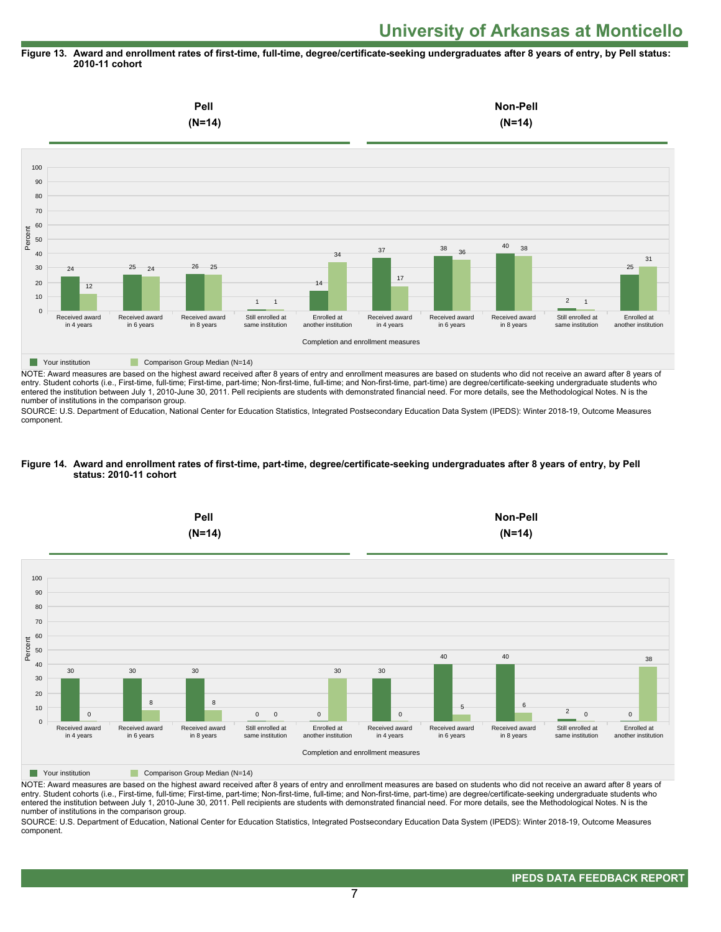#### **Figure 13. Award and enrollment rates of first-time, full-time, degree/certificate-seeking undergraduates after 8 years of entry, by Pell status: 2010-11 cohort**



NOTE: Award measures are based on the highest award received after 8 years of entry and enrollment measures are based on students who did not receive an award after 8 years of entry. Student cohorts (i.e., First-time, full-time; First-time, part-time; Non-first-time, full-time; and Non-first-time, part-time) are degree/certificate-seeking undergraduate students who entered the institution between July 1, 2010-June 30, 2011. Pell recipients are students with demonstrated financial need. For more details, see the Methodological Notes. N is the number of institutions in the comparison group.

SOURCE: U.S. Department of Education, National Center for Education Statistics, Integrated Postsecondary Education Data System (IPEDS): Winter 2018-19, Outcome Measures component.

#### **Figure 14. Award and enrollment rates of first-time, part-time, degree/certificate-seeking undergraduates after 8 years of entry, by Pell status: 2010-11 cohort**



NOTE: Award measures are based on the highest award received after 8 years of entry and enrollment measures are based on students who did not receive an award after 8 years of entry. Student cohorts (i.e., First-time, full-time; First-time, part-time; Non-first-time, full-time; and Non-first-time, part-time) are degree/certificate-seeking undergraduate students who entered the institution between July 1, 2010-June 30, 2011. Pell recipients are students with demonstrated financial need. For more details, see the Methodological Notes. N is the number of institutions in the comparison group.

SOURCE: U.S. Department of Education, National Center for Education Statistics, Integrated Postsecondary Education Data System (IPEDS): Winter 2018-19, Outcome Measures component.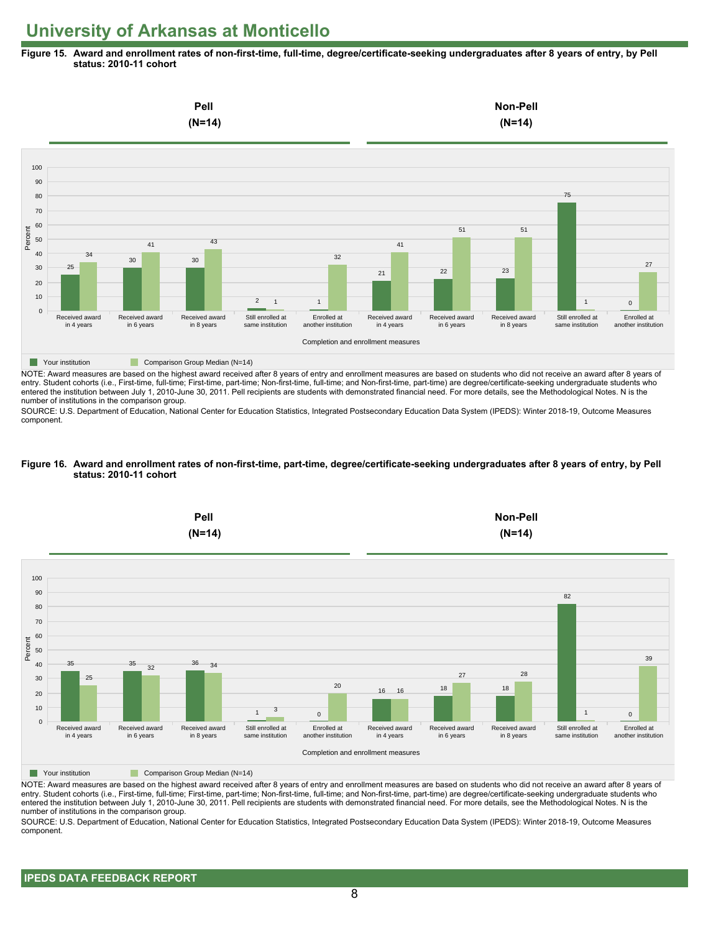**Figure 15. Award and enrollment rates of non-first-time, full-time, degree/certificate-seeking undergraduates after 8 years of entry, by Pell status: 2010-11 cohort**



NOTE: Award measures are based on the highest award received after 8 years of entry and enrollment measures are based on students who did not receive an award after 8 years of entry. Student cohorts (i.e., First-time, full-time; First-time, part-time; Non-first-time, full-time; and Non-first-time, part-time) are degree/certificate-seeking undergraduate students who entered the institution between July 1, 2010-June 30, 2011. Pell recipients are students with demonstrated financial need. For more details, see the Methodological Notes. N is the number of institutions in the comparison group.

SOURCE: U.S. Department of Education, National Center for Education Statistics, Integrated Postsecondary Education Data System (IPEDS): Winter 2018-19, Outcome Measures component.

#### **Figure 16. Award and enrollment rates of non-first-time, part-time, degree/certificate-seeking undergraduates after 8 years of entry, by Pell status: 2010-11 cohort**



NOTE: Award measures are based on the highest award received after 8 years of entry and enrollment measures are based on students who did not receive an award after 8 years of entry. Student cohorts (i.e., First-time, full-time; First-time, part-time; Non-first-time, full-time; and Non-first-time, part-time) are degree/certificate-seeking undergraduate students who entered the institution between July 1, 2010-June 30, 2011. Pell recipients are students with demonstrated financial need. For more details, see the Methodological Notes. N is the number of institutions in the comparison group.

SOURCE: U.S. Department of Education, National Center for Education Statistics, Integrated Postsecondary Education Data System (IPEDS): Winter 2018-19, Outcome Measures component.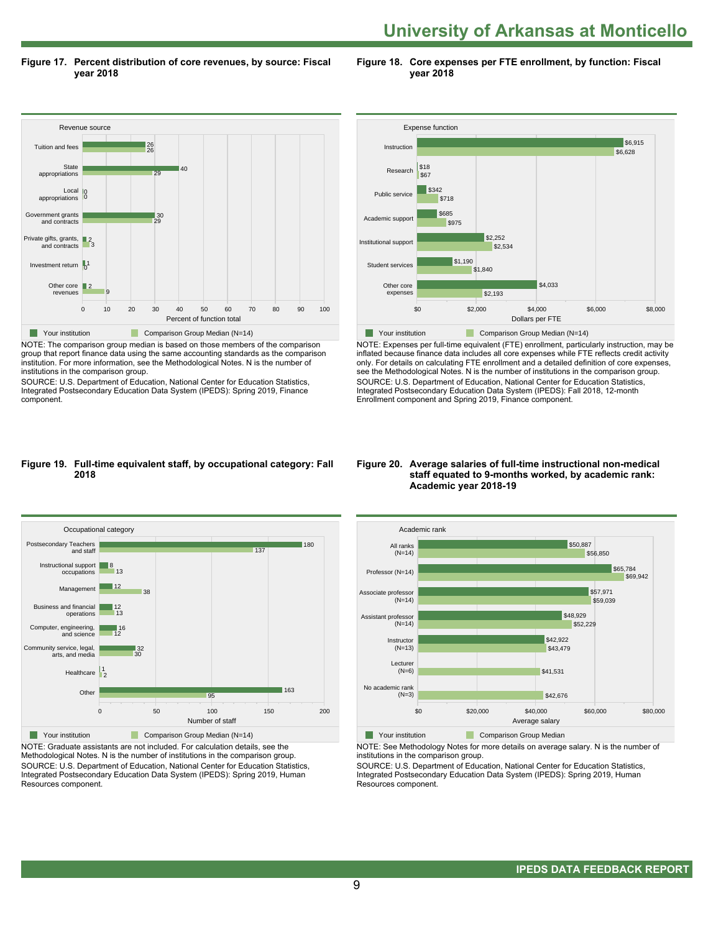**Figure 17. Percent distribution of core revenues, by source: Fiscal year 2018**

**Figure 18. Core expenses per FTE enrollment, by function: Fiscal year 2018**



NOTE: The comparison group median is based on those members of the comparison group that report finance data using the same accounting standards as the comparison institution. For more information, see the Methodological Notes. N is the number of institutions in the comparison group.

SOURCE: U.S. Department of Education, National Center for Education Statistics, Integrated Postsecondary Education Data System (IPEDS): Spring 2019, Finance component.



NOTE: Expenses per full-time equivalent (FTE) enrollment, particularly instruction, may be inflated because finance data includes all core expenses while FTE reflects credit activity only. For details on calculating FTE enrollment and a detailed definition of core expenses, see the Methodological Notes. N is the number of institutions in the comparison group. SOURCE: U.S. Department of Education, National Center for Education Statistics, Integrated Postsecondary Education Data System (IPEDS): Fall 2018, 12-month Enrollment component and Spring 2019, Finance component.

#### **Figure 19. Full-time equivalent staff, by occupational category: Fall 2018**



NOTE: Graduate assistants are not included. For calculation details, see the Methodological Notes. N is the number of institutions in the comparison group. SOURCE: U.S. Department of Education, National Center for Education Statistics, Integrated Postsecondary Education Data System (IPEDS): Spring 2019, Human Resources component.

#### **Figure 20. Average salaries of full-time instructional non-medical staff equated to 9-months worked, by academic rank: Academic year 2018-19**



**Nour institution Comparison Group Median** 

NOTE: See Methodology Notes for more details on average salary. N is the number of institutions in the comparison group.

SOURCE: U.S. Department of Education, National Center for Education Statistics, Integrated Postsecondary Education Data System (IPEDS): Spring 2019, Human Resources component.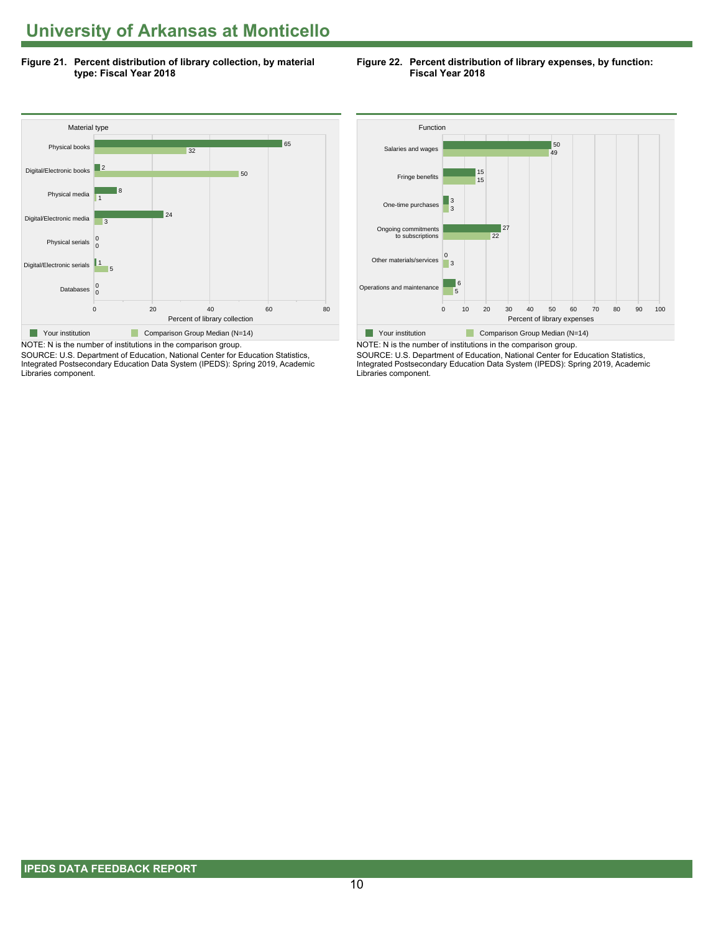**Figure 21. Percent distribution of library collection, by material type: Fiscal Year 2018**





SOURCE: U.S. Department of Education, National Center for Education Statistics, Integrated Postsecondary Education Data System (IPEDS): Spring 2019, Academic Libraries component.



NOTE: N is the number of institutions in the comparison group. SOURCE: U.S. Department of Education, National Center for Education Statistics, Integrated Postsecondary Education Data System (IPEDS): Spring 2019, Academic Libraries component.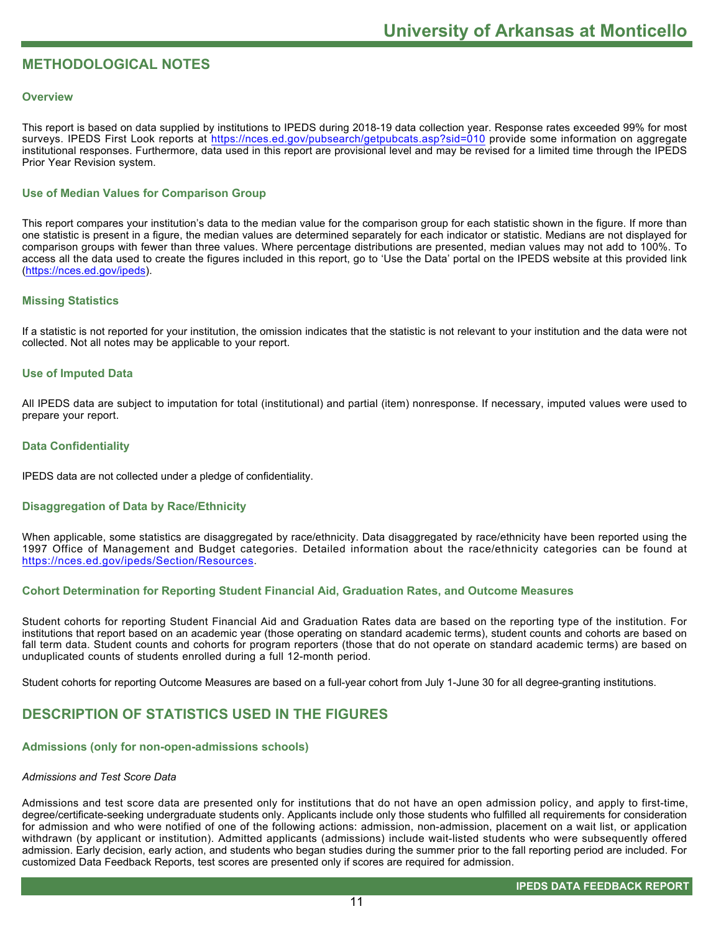# **METHODOLOGICAL NOTES**

#### **Overview**

This report is based on data supplied by institutions to IPEDS during 2018-19 data collection year. Response rates exceeded 99% for most surveys. IPEDS First Look reports at <https://nces.ed.gov/pubsearch/getpubcats.asp?sid=010> provide some information on aggregate institutional responses. Furthermore, data used in this report are provisional level and may be revised for a limited time through the IPEDS Prior Year Revision system.

### **Use of Median Values for Comparison Group**

This report compares your institution's data to the median value for the comparison group for each statistic shown in the figure. If more than one statistic is present in a figure, the median values are determined separately for each indicator or statistic. Medians are not displayed for comparison groups with fewer than three values. Where percentage distributions are presented, median values may not add to 100%. To access all the data used to create the figures included in this report, go to 'Use the Data' portal on the IPEDS website at this provided link ([https://nces.ed.gov/ipeds\)](https://nces.ed.gov/ipeds).

#### **Missing Statistics**

If a statistic is not reported for your institution, the omission indicates that the statistic is not relevant to your institution and the data were not collected. Not all notes may be applicable to your report.

#### **Use of Imputed Data**

All IPEDS data are subject to imputation for total (institutional) and partial (item) nonresponse. If necessary, imputed values were used to prepare your report.

#### **Data Confidentiality**

IPEDS data are not collected under a pledge of confidentiality.

#### **Disaggregation of Data by Race/Ethnicity**

When applicable, some statistics are disaggregated by race/ethnicity. Data disaggregated by race/ethnicity have been reported using the 1997 Office of Management and Budget categories. Detailed information about the race/ethnicity categories can be found at <https://nces.ed.gov/ipeds/Section/Resources>.

#### **Cohort Determination for Reporting Student Financial Aid, Graduation Rates, and Outcome Measures**

Student cohorts for reporting Student Financial Aid and Graduation Rates data are based on the reporting type of the institution. For institutions that report based on an academic year (those operating on standard academic terms), student counts and cohorts are based on fall term data. Student counts and cohorts for program reporters (those that do not operate on standard academic terms) are based on unduplicated counts of students enrolled during a full 12-month period.

Student cohorts for reporting Outcome Measures are based on a full-year cohort from July 1-June 30 for all degree-granting institutions.

# **DESCRIPTION OF STATISTICS USED IN THE FIGURES**

#### **Admissions (only for non-open-admissions schools)**

#### *Admissions and Test Score Data*

Admissions and test score data are presented only for institutions that do not have an open admission policy, and apply to first-time, degree/certificate-seeking undergraduate students only. Applicants include only those students who fulfilled all requirements for consideration for admission and who were notified of one of the following actions: admission, non-admission, placement on a wait list, or application withdrawn (by applicant or institution). Admitted applicants (admissions) include wait-listed students who were subsequently offered admission. Early decision, early action, and students who began studies during the summer prior to the fall reporting period are included. For customized Data Feedback Reports, test scores are presented only if scores are required for admission.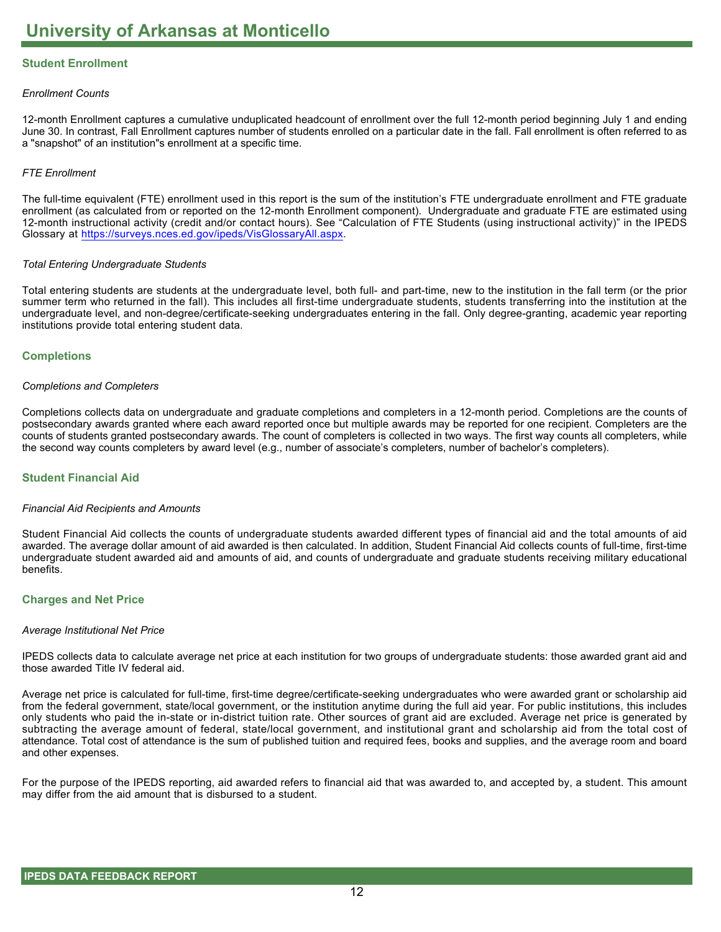# **Student Enrollment**

#### *Enrollment Counts*

12-month Enrollment captures a cumulative unduplicated headcount of enrollment over the full 12-month period beginning July 1 and ending June 30. In contrast, Fall Enrollment captures number of students enrolled on a particular date in the fall. Fall enrollment is often referred to as a "snapshot" of an institution"s enrollment at a specific time.

#### *FTE Enrollment*

The full-time equivalent (FTE) enrollment used in this report is the sum of the institution's FTE undergraduate enrollment and FTE graduate enrollment (as calculated from or reported on the 12-month Enrollment component). Undergraduate and graduate FTE are estimated using 12-month instructional activity (credit and/or contact hours). See "Calculation of FTE Students (using instructional activity)" in the IPEDS Glossary at <https://surveys.nces.ed.gov/ipeds/VisGlossaryAll.aspx>.

#### *Total Entering Undergraduate Students*

Total entering students are students at the undergraduate level, both full- and part-time, new to the institution in the fall term (or the prior summer term who returned in the fall). This includes all first-time undergraduate students, students transferring into the institution at the undergraduate level, and non-degree/certificate-seeking undergraduates entering in the fall. Only degree-granting, academic year reporting institutions provide total entering student data.

#### **Completions**

#### *Completions and Completers*

Completions collects data on undergraduate and graduate completions and completers in a 12-month period. Completions are the counts of postsecondary awards granted where each award reported once but multiple awards may be reported for one recipient. Completers are the counts of students granted postsecondary awards. The count of completers is collected in two ways. The first way counts all completers, while the second way counts completers by award level (e.g., number of associate's completers, number of bachelor's completers).

#### **Student Financial Aid**

#### *Financial Aid Recipients and Amounts*

Student Financial Aid collects the counts of undergraduate students awarded different types of financial aid and the total amounts of aid awarded. The average dollar amount of aid awarded is then calculated. In addition, Student Financial Aid collects counts of full-time, first-time undergraduate student awarded aid and amounts of aid, and counts of undergraduate and graduate students receiving military educational benefits.

#### **Charges and Net Price**

#### *Average Institutional Net Price*

IPEDS collects data to calculate average net price at each institution for two groups of undergraduate students: those awarded grant aid and those awarded Title IV federal aid.

Average net price is calculated for full-time, first-time degree/certificate-seeking undergraduates who were awarded grant or scholarship aid from the federal government, state/local government, or the institution anytime during the full aid year. For public institutions, this includes only students who paid the in-state or in-district tuition rate. Other sources of grant aid are excluded. Average net price is generated by subtracting the average amount of federal, state/local government, and institutional grant and scholarship aid from the total cost of attendance. Total cost of attendance is the sum of published tuition and required fees, books and supplies, and the average room and board and other expenses.

For the purpose of the IPEDS reporting, aid awarded refers to financial aid that was awarded to, and accepted by, a student. This amount may differ from the aid amount that is disbursed to a student.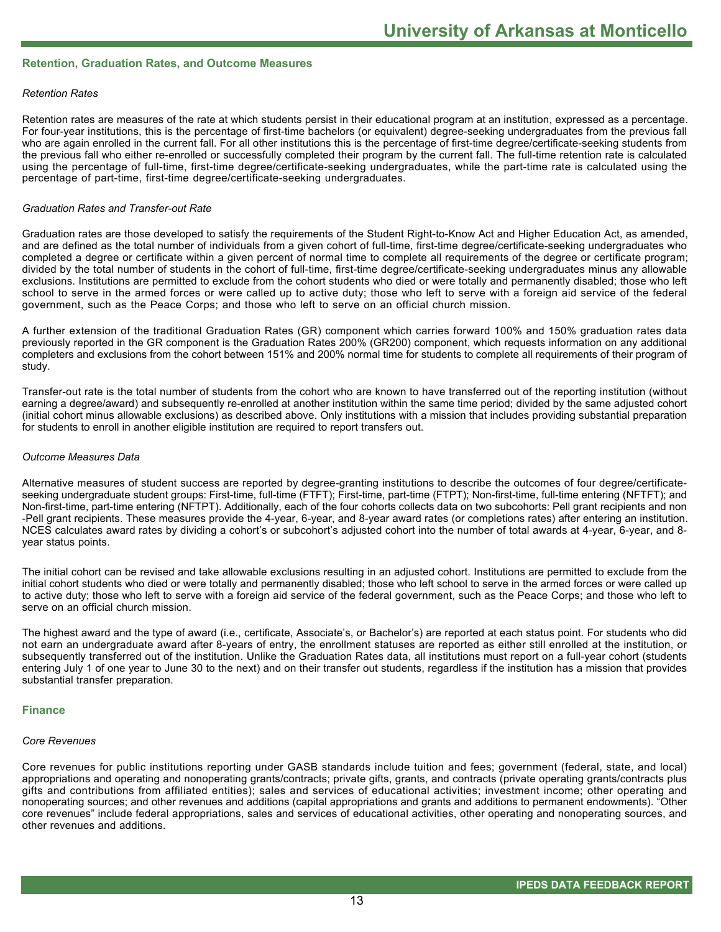#### **Retention, Graduation Rates, and Outcome Measures**

#### *Retention Rates*

Retention rates are measures of the rate at which students persist in their educational program at an institution, expressed as a percentage. For four-year institutions, this is the percentage of first-time bachelors (or equivalent) degree-seeking undergraduates from the previous fall who are again enrolled in the current fall. For all other institutions this is the percentage of first-time degree/certificate-seeking students from the previous fall who either re-enrolled or successfully completed their program by the current fall. The full-time retention rate is calculated using the percentage of full-time, first-time degree/certificate-seeking undergraduates, while the part-time rate is calculated using the percentage of part-time, first-time degree/certificate-seeking undergraduates.

#### *Graduation Rates and Transfer-out Rate*

Graduation rates are those developed to satisfy the requirements of the Student Right-to-Know Act and Higher Education Act, as amended, and are defined as the total number of individuals from a given cohort of full-time, first-time degree/certificate-seeking undergraduates who completed a degree or certificate within a given percent of normal time to complete all requirements of the degree or certificate program; divided by the total number of students in the cohort of full-time, first-time degree/certificate-seeking undergraduates minus any allowable exclusions. Institutions are permitted to exclude from the cohort students who died or were totally and permanently disabled; those who left school to serve in the armed forces or were called up to active duty; those who left to serve with a foreign aid service of the federal government, such as the Peace Corps; and those who left to serve on an official church mission.

A further extension of the traditional Graduation Rates (GR) component which carries forward 100% and 150% graduation rates data previously reported in the GR component is the Graduation Rates 200% (GR200) component, which requests information on any additional completers and exclusions from the cohort between 151% and 200% normal time for students to complete all requirements of their program of study.

Transfer-out rate is the total number of students from the cohort who are known to have transferred out of the reporting institution (without earning a degree/award) and subsequently re-enrolled at another institution within the same time period; divided by the same adjusted cohort (initial cohort minus allowable exclusions) as described above. Only institutions with a mission that includes providing substantial preparation for students to enroll in another eligible institution are required to report transfers out.

#### *Outcome Measures Data*

Alternative measures of student success are reported by degree-granting institutions to describe the outcomes of four degree/certificateseeking undergraduate student groups: First-time, full-time (FTFT); First-time, part-time (FTPT); Non-first-time, full-time entering (NFTFT); and Non-first-time, part-time entering (NFTPT). Additionally, each of the four cohorts collects data on two subcohorts: Pell grant recipients and non -Pell grant recipients. These measures provide the 4-year, 6-year, and 8-year award rates (or completions rates) after entering an institution. NCES calculates award rates by dividing a cohort's or subcohort's adjusted cohort into the number of total awards at 4-year, 6-year, and 8year status points.

The initial cohort can be revised and take allowable exclusions resulting in an adjusted cohort. Institutions are permitted to exclude from the initial cohort students who died or were totally and permanently disabled; those who left school to serve in the armed forces or were called up to active duty; those who left to serve with a foreign aid service of the federal government, such as the Peace Corps; and those who left to serve on an official church mission.

The highest award and the type of award (i.e., certificate, Associate's, or Bachelor's) are reported at each status point. For students who did not earn an undergraduate award after 8-years of entry, the enrollment statuses are reported as either still enrolled at the institution, or subsequently transferred out of the institution. Unlike the Graduation Rates data, all institutions must report on a full-year cohort (students entering July 1 of one year to June 30 to the next) and on their transfer out students, regardless if the institution has a mission that provides substantial transfer preparation.

#### **Finance**

#### *Core Revenues*

Core revenues for public institutions reporting under GASB standards include tuition and fees; government (federal, state, and local) appropriations and operating and nonoperating grants/contracts; private gifts, grants, and contracts (private operating grants/contracts plus gifts and contributions from affiliated entities); sales and services of educational activities; investment income; other operating and nonoperating sources; and other revenues and additions (capital appropriations and grants and additions to permanent endowments). "Other core revenues" include federal appropriations, sales and services of educational activities, other operating and nonoperating sources, and other revenues and additions.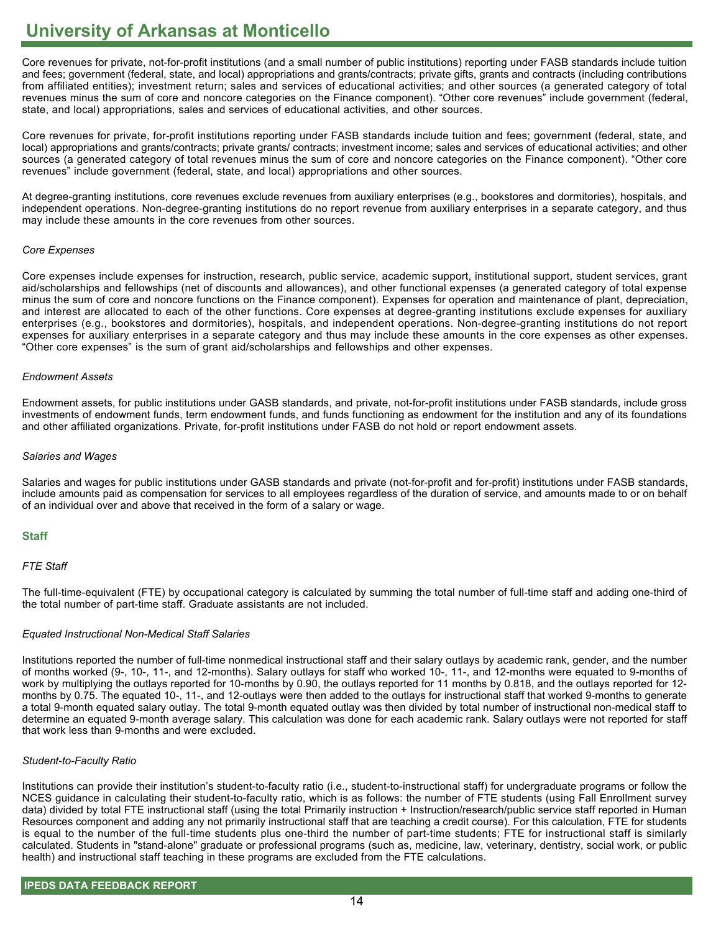Core revenues for private, not-for-profit institutions (and a small number of public institutions) reporting under FASB standards include tuition and fees; government (federal, state, and local) appropriations and grants/contracts; private gifts, grants and contracts (including contributions from affiliated entities); investment return; sales and services of educational activities; and other sources (a generated category of total revenues minus the sum of core and noncore categories on the Finance component). "Other core revenues" include government (federal, state, and local) appropriations, sales and services of educational activities, and other sources.

Core revenues for private, for-profit institutions reporting under FASB standards include tuition and fees; government (federal, state, and local) appropriations and grants/contracts; private grants/ contracts; investment income; sales and services of educational activities; and other sources (a generated category of total revenues minus the sum of core and noncore categories on the Finance component). "Other core revenues" include government (federal, state, and local) appropriations and other sources.

At degree-granting institutions, core revenues exclude revenues from auxiliary enterprises (e.g., bookstores and dormitories), hospitals, and independent operations. Non-degree-granting institutions do no report revenue from auxiliary enterprises in a separate category, and thus may include these amounts in the core revenues from other sources.

#### *Core Expenses*

Core expenses include expenses for instruction, research, public service, academic support, institutional support, student services, grant aid/scholarships and fellowships (net of discounts and allowances), and other functional expenses (a generated category of total expense minus the sum of core and noncore functions on the Finance component). Expenses for operation and maintenance of plant, depreciation, and interest are allocated to each of the other functions. Core expenses at degree-granting institutions exclude expenses for auxiliary enterprises (e.g., bookstores and dormitories), hospitals, and independent operations. Non-degree-granting institutions do not report expenses for auxiliary enterprises in a separate category and thus may include these amounts in the core expenses as other expenses. "Other core expenses" is the sum of grant aid/scholarships and fellowships and other expenses.

#### *Endowment Assets*

Endowment assets, for public institutions under GASB standards, and private, not-for-profit institutions under FASB standards, include gross investments of endowment funds, term endowment funds, and funds functioning as endowment for the institution and any of its foundations and other affiliated organizations. Private, for-profit institutions under FASB do not hold or report endowment assets.

#### *Salaries and Wages*

Salaries and wages for public institutions under GASB standards and private (not-for-profit and for-profit) institutions under FASB standards, include amounts paid as compensation for services to all employees regardless of the duration of service, and amounts made to or on behalf of an individual over and above that received in the form of a salary or wage.

### **Staff**

### *FTE Staff*

The full-time-equivalent (FTE) by occupational category is calculated by summing the total number of full-time staff and adding one-third of the total number of part-time staff. Graduate assistants are not included.

### *Equated Instructional Non-Medical Staff Salaries*

Institutions reported the number of full-time nonmedical instructional staff and their salary outlays by academic rank, gender, and the number of months worked (9-, 10-, 11-, and 12-months). Salary outlays for staff who worked 10-, 11-, and 12-months were equated to 9-months of work by multiplying the outlays reported for 10-months by 0.90, the outlays reported for 11 months by 0.818, and the outlays reported for 12 months by 0.75. The equated 10-, 11-, and 12-outlays were then added to the outlays for instructional staff that worked 9-months to generate a total 9-month equated salary outlay. The total 9-month equated outlay was then divided by total number of instructional non-medical staff to determine an equated 9-month average salary. This calculation was done for each academic rank. Salary outlays were not reported for staff that work less than 9-months and were excluded.

#### *Student-to-Faculty Ratio*

Institutions can provide their institution's student-to-faculty ratio (i.e., student-to-instructional staff) for undergraduate programs or follow the NCES guidance in calculating their student-to-faculty ratio, which is as follows: the number of FTE students (using Fall Enrollment survey data) divided by total FTE instructional staff (using the total Primarily instruction + Instruction/research/public service staff reported in Human Resources component and adding any not primarily instructional staff that are teaching a credit course). For this calculation, FTE for students is equal to the number of the full-time students plus one-third the number of part-time students; FTE for instructional staff is similarly calculated. Students in "stand-alone" graduate or professional programs (such as, medicine, law, veterinary, dentistry, social work, or public health) and instructional staff teaching in these programs are excluded from the FTE calculations.